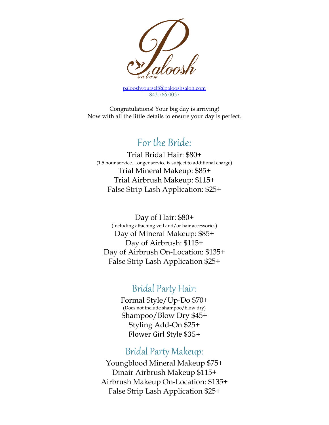

[palooshyourself@palooshsalon.com](mailto:palooshyourself@palooshsalon.com) 843.766.0037

Congratulations! Your big day is arriving! Now with all the little details to ensure your day is perfect.

# For the Bride:

Trial Bridal Hair: \$80+ (1.5 hour service. Longer service is subject to additional charge) Trial Mineral Makeup: \$85+ Trial Airbrush Makeup: \$115+ False Strip Lash Application: \$25+

Day of Hair: \$80+ (Including attaching veil and/or hair accessories) Day of Mineral Makeup: \$85+ Day of Airbrush: \$115+ Day of Airbrush On-Location: \$135+ False Strip Lash Application \$25+

# Bridal Party Hair:

Formal Style/Up-Do \$70+ (Does not include shampoo/blow dry) Shampoo/Blow Dry \$45+ Styling Add-On \$25+ Flower Girl Style \$35+

# Bridal Party Makeup:

Youngblood Mineral Makeup \$75+ Dinair Airbrush Makeup \$115+ Airbrush Makeup On-Location: \$135+ False Strip Lash Application \$25+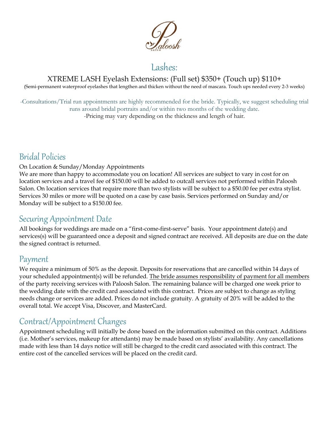

### XTREME LASH Eyelash Extensions: (Full set) \$350+ (Touch up) \$110+

(Semi-permanent waterproof eyelashes that lengthen and thicken without the need of mascara. Touch ups needed every 2-3 weeks)

-Consultations/Trial run appointments are highly recommended for the bride. Typically, we suggest scheduling trial runs around bridal portraits and/or within two months of the wedding date.

-Pricing may vary depending on the thickness and length of hair.

# Bridal Policies

### On Location & Sunday/Monday Appointments

We are more than happy to accommodate you on location! All services are subject to vary in cost for on location services and a travel fee of \$150.00 will be added to outcall services not performed within Paloosh Salon. On location services that require more than two stylists will be subject to a \$50.00 fee per extra stylist. Services 30 miles or more will be quoted on a case by case basis. Services performed on Sunday and/or Monday will be subject to a \$150.00 fee.

### Securing Appointment Date

All bookings for weddings are made on a "first-come-first-serve" basis. Your appointment date(s) and services(s) will be guaranteed once a deposit and signed contract are received. All deposits are due on the date the signed contract is returned.

### Payment

We require a minimum of 50% as the deposit. Deposits for reservations that are cancelled within 14 days of your scheduled appointment(s) will be refunded. The bride assumes responsibility of payment for all members of the party receiving services with Paloosh Salon. The remaining balance will be charged one week prior to the wedding date with the credit card associated with this contract. Prices are subject to change as styling needs change or services are added. Prices do not include gratuity. A gratuity of 20% will be added to the overall total. We accept Visa, Discover, and MasterCard.

# Contract/Appointment Changes

Appointment scheduling will initially be done based on the information submitted on this contract. Additions (i.e. Mother's services, makeup for attendants) may be made based on stylists' availability. Any cancellations made with less than 14 days notice will still be charged to the credit card associated with this contract. The entire cost of the cancelled services will be placed on the credit card.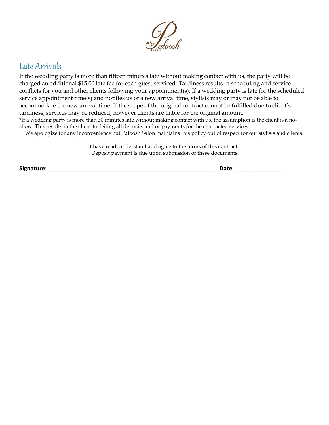

# Late Arrivals

If the wedding party is more than fifteen minutes late without making contact with us, the party will be charged an additional \$15.00 late fee for each guest serviced. Tardiness results in scheduling and service conflicts for you and other clients following your appointment(s). If a wedding party is late for the scheduled service appointment time(s) and notifies us of a new arrival time, stylists may or may not be able to accommodate the new arrival time. If the scope of the original contract cannot be fulfilled due to client's tardiness, services may be reduced; however clients are liable for the original amount. \*If a wedding party is more than 30 minutes late without making contact with us, the assumption is the client is a noshow. This results in the client forfeiting all deposits and or payments for the contracted services.

We apologize for any inconvenience but Paloosh Salon maintains this policy out of respect for our stylists and clients.

I have read, understand and agree to the terms of this contract. Deposit payment is due upon submission of these documents.

**Signature**: \_\_\_\_\_\_\_\_\_\_\_\_\_\_\_\_\_\_\_\_\_\_\_\_\_\_\_\_\_\_\_\_\_\_\_\_\_\_\_\_\_\_\_\_\_\_\_\_\_\_\_\_ **Date**: \_\_\_\_\_\_\_\_\_\_\_\_\_\_\_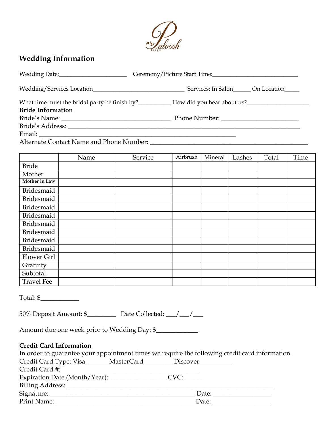

### **Wedding Information**

| <b>Bride Information</b>                                                                       |      |         |          |         |        |       |      |  |  |
|------------------------------------------------------------------------------------------------|------|---------|----------|---------|--------|-------|------|--|--|
|                                                                                                |      |         |          |         |        |       |      |  |  |
|                                                                                                |      |         |          |         |        |       |      |  |  |
|                                                                                                |      |         |          |         |        |       |      |  |  |
| Alternate Contact Name and Phone Number:                                                       |      |         |          |         |        |       |      |  |  |
|                                                                                                |      |         | Airbrush | Mineral |        |       |      |  |  |
|                                                                                                | Name | Service |          |         | Lashes | Total | Time |  |  |
| <b>Bride</b>                                                                                   |      |         |          |         |        |       |      |  |  |
| Mother<br>Mother in Law                                                                        |      |         |          |         |        |       |      |  |  |
|                                                                                                |      |         |          |         |        |       |      |  |  |
| Bridesmaid                                                                                     |      |         |          |         |        |       |      |  |  |
| <b>Bridesmaid</b>                                                                              |      |         |          |         |        |       |      |  |  |
| <b>Bridesmaid</b>                                                                              |      |         |          |         |        |       |      |  |  |
| <b>Bridesmaid</b>                                                                              |      |         |          |         |        |       |      |  |  |
| <b>Bridesmaid</b>                                                                              |      |         |          |         |        |       |      |  |  |
| <b>Bridesmaid</b>                                                                              |      |         |          |         |        |       |      |  |  |
| <b>Bridesmaid</b>                                                                              |      |         |          |         |        |       |      |  |  |
| Bridesmaid<br>Flower Girl                                                                      |      |         |          |         |        |       |      |  |  |
|                                                                                                |      |         |          |         |        |       |      |  |  |
| Gratuity<br>Subtotal                                                                           |      |         |          |         |        |       |      |  |  |
| <b>Travel Fee</b>                                                                              |      |         |          |         |        |       |      |  |  |
|                                                                                                |      |         |          |         |        |       |      |  |  |
| Total: \$                                                                                      |      |         |          |         |        |       |      |  |  |
|                                                                                                |      |         |          |         |        |       |      |  |  |
| Amount due one week prior to Wedding Day: \$                                                   |      |         |          |         |        |       |      |  |  |
| <b>Credit Card Information</b>                                                                 |      |         |          |         |        |       |      |  |  |
| In order to guarantee your appointment times we require the following credit card information. |      |         |          |         |        |       |      |  |  |
| Credit Card Type: Visa _______ MasterCard _________ Discover__________                         |      |         |          |         |        |       |      |  |  |
|                                                                                                |      |         |          |         |        |       |      |  |  |
|                                                                                                |      |         |          |         |        |       |      |  |  |

Billing Address: \_\_\_\_\_\_\_\_\_\_\_\_\_\_\_\_\_\_\_\_\_\_\_\_\_\_\_\_\_\_\_\_\_\_\_\_\_\_\_\_\_\_\_\_\_\_\_\_\_\_\_\_\_\_\_\_\_\_\_\_\_\_\_\_

Signature: \_\_\_\_\_\_\_\_\_\_\_\_\_\_\_\_\_\_\_\_\_\_\_\_\_\_\_\_\_\_\_\_\_\_\_\_\_\_\_\_\_\_\_\_\_ Date: \_\_\_\_\_\_\_\_\_\_\_\_\_\_\_\_\_\_

Print Name: \_\_\_\_\_\_\_\_\_\_\_\_\_\_\_\_\_\_\_\_\_\_\_\_\_\_\_\_\_\_\_\_\_\_\_\_\_\_\_\_\_\_\_ Date: \_\_\_\_\_\_\_\_\_\_\_\_\_\_\_\_\_\_